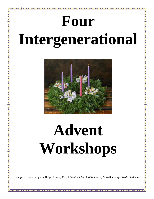# **Four Intergenerational**



# **Advent Workshops**

*Adapted from a design by Betsy Strain of First Christian Church (Disciples of Christ), Crawfordsville, Indiana*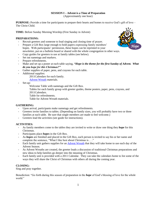# **SESSION I – Advent is a Time of Preparation**

(Approximately one hour)

**PURPOSE:** Provide a time for participants to prepare their hearts and homes to receive God's gift of love – The Christ Child.

**TIME:** Before Sunday Morning Worship (First Sunday in Advent)

# **PREPARATIONS:**

- Recruit greeters and someone to lead singing and closing time of prayer.
- Prepare a Gift Box large enough to hold papers expressing family members' hopes. With participants' permission, these hopes can be reprinted in your newsletter, put on a bulletin board or shared with the whole congregation in other ways.
- Copy guides for greeters to use at family tables (see below).
- Set out nametags and markers.
- Prepare refreshments.
- Make and set up a poster at each table saying, *"Hope is the theme for the first Sunday of Advent.* What *do you hope for this Christmas?"*
- Gather supplies of paper, pens, and crayons for each table.
- Additional supplies:
	- 2011Calendars for each family.
	- [Advent Wreath](https://www.discipleshomemissions.org/files/FCM-FamilyAdventWreath.pdf) materials.
- Set-up:
	- Welcome Table with nametags and the Gift Box.
	- Tables for each family group with greeter guides, theme posters, paper, pens, crayons, and 2011Calendars.
	- Table for refreshments.
	- Table for Advent Wreath materials.

# **GATHERING:**

- Upon arrival, participants make nametags and get refreshments.
- Greeters invite families to tables. (Depending on family sizes, you will probably have two or three families at each table. Be sure that single members are made to feel welcome.)
- Greeters lead the activities (see guide for instructions).

# **ACTIVITIES:**

- As family members come to the tables they are invited to write or draw one thing they *hope* for this Christmas.
- Participants place *hopes* in the Gift Box.
- As *hopes* are finished and placed in the Gift Box, each person is invited to say his or her name and complete the sentence, "What I like best about Christmas is . . ."
- Each family unit gathers supplies for an [Advent Wreath](https://www.discipleshomemissions.org/files/FCM-FamilyAdventWreath.pdf) that they will take home to use each day of the Advent Season.
- As Advent Wreaths are created, the greeter leads a discussion of traditional Christmas preparations and new ideas to help families go deeper into the meaning of Christmas.
- Each family unit is provided with a 2011 Calendar. They can take the calendars home to list some of the ways they will share the Christ of Christmas with others all during the coming year.

# **CLOSING:**

Sing and pray together.

Benediction: "Go forth during this season of preparation in the *hope* of God's blessing of love for the whole world."

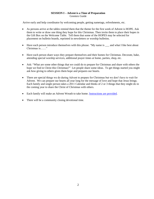# **SESSION I – Advent is a Time of Preparation** Greeters Guide

Arrive early and help coordinator by welcoming people, getting nametags, refreshments, etc.

- As persons arrive at the tables remind them that the theme for the first week of Advent is HOPE. Ask them to write or draw one thing they hope for this Christmas. Then invite them to place their hopes in the Gift Box on the Welcome Table. Tell them that some of the HOPES may be selected for placement on bulletin boards, reprinted in newsletters or worship bulletins.
- Have each person introduce themselves with this phrase. "My name is \_\_\_ and what I like best about Christmas is……"
- Have each person share ways they prepare themselves and their homes for Christmas. Decorate, bake, attending special worship services, additional prayer times at home, parties, shop, etc.
- Ask: "What are some other things that we could do to prepare for Christmas and share with others the hope we find in Christ this Christmas?" Let people share some ideas. To get things started you might ask how giving to others gives them hope and prepares our hearts.
- There are special things we do during Advent to prepare for Christmas but we don't have to wait for Advent. We can prepare our hearts all year long for the message of love and hope that Jesus brings. Each family and single person takes a 2011 Calendar and thinks of 2 or 3 things that they might do in the coming year to share the Christ of Christmas with others.
- Each family will make an Advent Wreath to take home. **Instructions are provided**.
- There will be a community closing devotional time.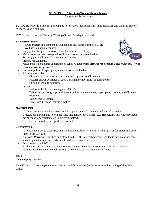# **SESSION II – Advent is a Time of Remembering**

(Approximately one hour)

**PURPOSE:** Provide a time for participants to reflect on individual Christmas memories and the Biblical story of the Messiah's coming.

**TIME:** Before Sunday Morning Worship (Second Sunday in Advent)

# **PREPARATIONS:**

- Recruit greeters and someone to lead singing and closing time of prayer.
- Have Gift Box again available.
- Copy guides for greeters to use at symbol tables (see below).
- Make nametags that correspond to Chrismon symbols on each table.
- Set out (special Chrismon) nametags and markers.
- Prepare refreshments.
- Make and set up a poster at each table saying, **"***Peace is the theme for the second week of Advent. What is your prayer for peace?"*
- Gather supplies of paper, pens, and crayons for each table.
- Additional supplies:
	- [Chrismon](https://www.discipleshomemissions.org/files/FCM-Chrismons.pdf) making instruction sheets and supplies for Chrismons.
	- Pictures and/or examples of each Chrismon symbol (one for each table).
	- Chrismon making supplies.
- Set-up:
	- Welcome Table for name tags and Gift Box.
	- Tables for symbol groups with greeter guides, theme posters, paper, pens, crayons, and Chrismon examples.
	- Table for refreshments.
	- Table for Chrismon making supplies.

### **GATHERING:**

- Upon arrival participants write names on prepared symbol nametags and get refreshments.
- Greeters ask participants to join the table that matches their name tags. (Hopefully, this will encourage members of family units to go to different tables.)
- Greeters lead activities (see guide for instructions).

### **ACTIVITIES:**

- As participants get to their matching symbol tables, they write or draw their prayer for *peace* and place them in the Gift Box*.*
- As *Peace Prayers* are finished and placed in the Gift Box, each person is invited to say his or her name and complete the sentence, "My best Christmas memory is . . ."
- Story from Luke 2:1-7.
- Explanation of [Chrismons](https://www.discipleshomemissions.org/files/FCM-Chrismons.pdf) and how to make them is given by the coordinator for all participants.
- Participants make their own Chrismons to take home or exchange with a friend.

# **CLOSING:**

Sing and pray together.

Benediction: "Go now in *peace* remembering the fulfillment of God's promise in the coming of the Christ Child<sup>"</sup>

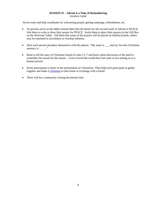# **SESSION II – Advent is a Time of Remembering** Greeters Guide

Arrive early and help coordinator by welcoming people, getting nametags, refreshments, etc.

- As persons arrive at the tables remind them that the theme for the second week of Advent is PEACE. Ask them to write or draw their prayer for PEACE. Invite them to place their prayers in the Gift Box on the Welcome Table. Tell them that some of the prayers will be placed on bulletin boards, others may be reprinted in newsletters or worship bulletins.
- Have each person introduce themselves with this phrase. "My name is  $\_\_$  and my favorite Christmas memory is  $\dots$ ."
- Read or tell the story of Christmas found in Luke 2:1-7 and lead a short discussion of the need to remember the reason for the season – God so loved the world that God came to live among us as a human person!
- Invite participants to listen to the presentation on Chrismons. Then help each participant to gather supplies and make a [Chrismon](https://www.discipleshomemissions.org/files/FCM-Chrismons.pdf) to take home or exchange with a friend.
- There will be a community closing devotional time.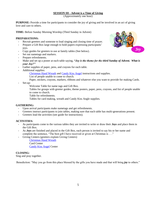# **SESSION III - Advent is a Time of Giving**

(Approximately one hour)

**PURPOSE:** Provide a time for participants to consider the joy of giving and be involved in an act of giving love and care to others.

**TIME:** Before Sunday Morning Worship (Third Sunday in Advent)

# **PREPARATIONS:**

- Recruit greeters and someone to lead singing and closing time of prayer.
- Prepare a Gift Box large enough to hold papers expressing participants' joys.
- Copy guides for greeters to use at family tables (See below).
- Set out nametags and markers.
- Prepare refreshments.
- Make and set up a poster at each table saying, "Joy is the theme for the third Sunday of Advent. What is *your Joy?"*
- Gather supplies of paper, pens, and crayons for each table.
- Additional supplies:

[Christmas Hand Wreath](https://www.discipleshomemissions.org/files/FCM-ChristmasHandWreath.pdf) and [Candy Kiss Angel](https://www.discipleshomemissions.org/files/FCM-CandyKissAngels.pdf) instructions and supplies.

- List of people unable to come to church.
- Paper, stickers, crayons, markers, ribbons and whatever else you want to provide for making Cards.
- Set-up:

Welcome Table for name tags and Gift Box.

Tables for groups with greeter guides, theme posters, paper, pens, crayons, and list of people unable to come to church.

Table for refreshments.

Tables for card making, wreath and Candy Kiss Angle supplies.

### **GATHERING:**

- Upon arrival participants make nametags and get refreshments.
- Greeters instruct participants to join tables, making sure that each table has multi-generations present.
- Greeters lead the activities (see guide for instructions).

### **ACTIVITIES:**

- As participants come to the various tables they are invited to write or draw their *Joys* and place them in the Gift Box.
- As *Joys* are finished and placed in the Gift Box, each person is invited to say his or her name and complete the sentence, "The best gift I have received or given at Christmas is . . ."
- Giving Centers (greeters explain Giving Centers)

[Christmas Hand Wreath](https://www.discipleshomemissions.org/files/FCM-ChristmasHandWreath.pdf) Card Center [Candy Kiss Angel](https://www.discipleshomemissions.org/files/FCM-CandyKissAngels.pdf) Center

# **CLOSING:**

Sing and pray together.

Benediction: "May you go from this place blessed by the gifts you have made and that will bring *joy* to others."

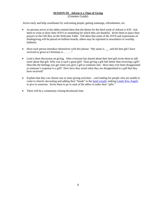# **SESSION III - Advent is a Time of Giving** (Greeters Guide)

Arrive early and help coordinator by welcoming people, getting nametags, refreshments, etc.

- As persons arrive at the tables remind them that the theme for the third week of Advent is JOY. Ask them to write or draw their JOYS or something for which they are thankful. Invite them to place their prayers in the Gift Box on the Welcome Table. Tell them that some of the JOYS and expressions of thanksgiving will be placed on bulletin boards; others may be reprinted in newsletters or worship bulletins.
- Have each person introduce themselves with this phrase. "My name is \_\_\_ and the best gift I have received or given at Christmas is . . . . . ."
- Lead a short discussion on giving. After everyone has shared about their best gift invite them to talk more about that gift. Why was it such a great gift? Does giving a gift feel better than receiving a gift? Describe the feelings you get when you give a gift to someone else. Have they ever been disappointed at someone's response to a gift? How have they acted when they are disappointed in a gift that they have received?
- Explain that they can choose one or more giving activities card making for people who are unable to come to church; decorating and adding their "hands" to the [hand wreath;](https://www.discipleshomemissions.org/files/FCM-ChristmasHandWreath.pdf) making [Candy Kiss Angels](https://www.discipleshomemissions.org/files/FCM-CandyKissAngels.pdf) to give to someone. Invite them to go to each of the tables to make their "gifts."
- There will be a community closing devotional time.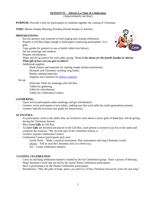# **SESSION IV – Advent is a Time of Celebration**

(Approximately one hour)

**PURPOSE:** Provide a time for participants to celebrate together the coming of Christmas.

**TIME:** Before Sunday Morning Worship (Fourth Sunday in Advent)

# **PREPARATIONS:**

- Recruit greeters and someone to lead singing and closing celebration.
- Prepare a Gift Box large enough to hold papers expressing participants' love gifts.
- Copy guides for greeters to use at family tables (see below).
- Set out nametags and markers.
- Prepare refreshments.
- Make and set up posters for each table saying, *"Love is the theme for the fourth Sunday in Advent. What gift of love can you give to others?*
- Additional supplies:
	- Hand chimes and materials for making simple rhythm instruments.
	- Hymnals and Christmas caroling song books.
	- Banner making materials.
	- Supplies and costumes for [drama creations.](https://www.discipleshomemissions.org/files/FCM-ChristmasDramaIdeas.pdf)

Set-up:

Welcome Table for nametags and Gift Box. Tables for gathering. Table for refreshments. Tables for Celebration Centers.

### **GATHERING:**

- Upon arrival participants make nametags and get refreshments.
- Greeters invite participants to join tables, making sure that each table has multi-generations present.
- Greeters lead the activities (see guide for instructions).

### **ACTIVITIES:**

- As participants come to the tables they are invited to write about or draw gifts of *Love* they will be giving during the Christmas Season.
- Place *Love Gifts* in Gift Box.
- As *Love Gifts* are finished and placed in the Gift Box, each person is invited to say his or her name and complete the sentence, "My favorite part of the Christmas Season is . . ."
- Greeters explain Celebration Centers.
- Celebration Centers (participants pick one).
	- Joyful Noise Make a musical instrument. Play instruments and sing Christmas Carols.
	- [Drama](https://www.discipleshomemissions.org/files/FCM-ChristmasDramaIdeas.pdf) Tell or read the Christmas story in a fresh way.
	- Art Create celebration banners.

### **CLOSING CELEBRATION**

- Carry-in and hang celebration banners created by the Art Celebration group. Have a prayer of blessing.
- Sing Christmas Carols that are led by the Joyful Noise Celebration participants.
- Have a performance by the Drama Celebration participants.
- Benediction, "May the gifts of hope, peace, joy and love of this Christmas Season be yours all year long."